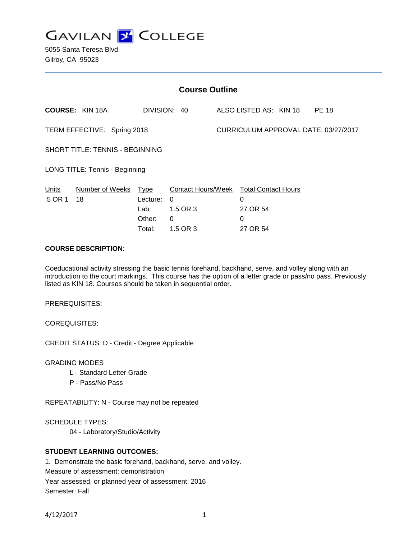

5055 Santa Teresa Blvd Gilroy, CA 95023

| <b>Course Outline</b>                  |                        |                                                     |                                                                                 |  |                                       |  |              |  |
|----------------------------------------|------------------------|-----------------------------------------------------|---------------------------------------------------------------------------------|--|---------------------------------------|--|--------------|--|
|                                        | <b>COURSE: KIN 18A</b> |                                                     | DIVISION: 40                                                                    |  | ALSO LISTED AS: KIN 18                |  | <b>PE 18</b> |  |
| TERM EFFECTIVE: Spring 2018            |                        |                                                     |                                                                                 |  | CURRICULUM APPROVAL DATE: 03/27/2017  |  |              |  |
| <b>SHORT TITLE: TENNIS - BEGINNING</b> |                        |                                                     |                                                                                 |  |                                       |  |              |  |
| LONG TITLE: Tennis - Beginning         |                        |                                                     |                                                                                 |  |                                       |  |              |  |
| Units<br>.5 OR 1                       | Number of Weeks<br>18  | <u>Type</u><br>Lecture:<br>Lab:<br>Other:<br>Total: | Contact Hours/Week Total Contact Hours<br>0<br>1.5 OR 3<br>$\Omega$<br>1.5 OR 3 |  | 0<br>27 OR 54<br>$\Omega$<br>27 OR 54 |  |              |  |

# **COURSE DESCRIPTION:**

Coeducational activity stressing the basic tennis forehand, backhand, serve, and volley along with an introduction to the court markings. This course has the option of a letter grade or pass/no pass. Previously listed as KIN 18. Courses should be taken in sequential order.

PREREQUISITES:

COREQUISITES:

CREDIT STATUS: D - Credit - Degree Applicable

GRADING MODES

- L Standard Letter Grade
- P Pass/No Pass

REPEATABILITY: N - Course may not be repeated

SCHEDULE TYPES:

04 - Laboratory/Studio/Activity

# **STUDENT LEARNING OUTCOMES:**

1. Demonstrate the basic forehand, backhand, serve, and volley. Measure of assessment: demonstration Year assessed, or planned year of assessment: 2016 Semester: Fall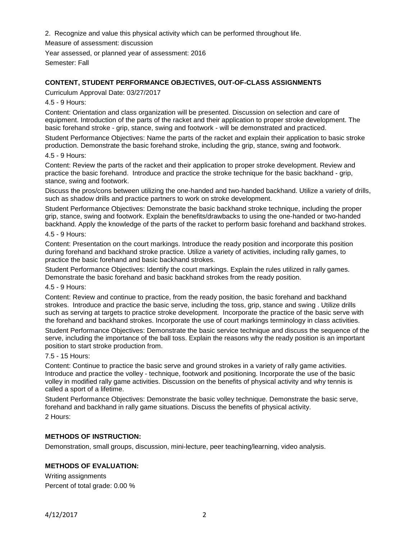2. Recognize and value this physical activity which can be performed throughout life.

Measure of assessment: discussion

Year assessed, or planned year of assessment: 2016 Semester: Fall

# **CONTENT, STUDENT PERFORMANCE OBJECTIVES, OUT-OF-CLASS ASSIGNMENTS**

Curriculum Approval Date: 03/27/2017

4.5 - 9 Hours:

Content: Orientation and class organization will be presented. Discussion on selection and care of equipment. Introduction of the parts of the racket and their application to proper stroke development. The basic forehand stroke - grip, stance, swing and footwork - will be demonstrated and practiced.

Student Performance Objectives: Name the parts of the racket and explain their application to basic stroke production. Demonstrate the basic forehand stroke, including the grip, stance, swing and footwork.

#### 4.5 - 9 Hours:

Content: Review the parts of the racket and their application to proper stroke development. Review and practice the basic forehand. Introduce and practice the stroke technique for the basic backhand - grip, stance, swing and footwork.

Discuss the pros/cons between utilizing the one-handed and two-handed backhand. Utilize a variety of drills, such as shadow drills and practice partners to work on stroke development.

Student Performance Objectives: Demonstrate the basic backhand stroke technique, including the proper grip, stance, swing and footwork. Explain the benefits/drawbacks to using the one-handed or two-handed backhand. Apply the knowledge of the parts of the racket to perform basic forehand and backhand strokes.

#### 4.5 - 9 Hours:

Content: Presentation on the court markings. Introduce the ready position and incorporate this position during forehand and backhand stroke practice. Utilize a variety of activities, including rally games, to practice the basic forehand and basic backhand strokes.

Student Performance Objectives: Identify the court markings. Explain the rules utilized in rally games. Demonstrate the basic forehand and basic backhand strokes from the ready position.

4.5 - 9 Hours:

Content: Review and continue to practice, from the ready position, the basic forehand and backhand strokes. Introduce and practice the basic serve, including the toss, grip, stance and swing . Utilize drills such as serving at targets to practice stroke development. Incorporate the practice of the basic serve with the forehand and backhand strokes. Incorporate the use of court markings terminology in class activities.

Student Performance Objectives: Demonstrate the basic service technique and discuss the sequence of the serve, including the importance of the ball toss. Explain the reasons why the ready position is an important position to start stroke production from.

7.5 - 15 Hours:

Content: Continue to practice the basic serve and ground strokes in a variety of rally game activities. Introduce and practice the volley - technique, footwork and positioning. Incorporate the use of the basic volley in modified rally game activities. Discussion on the benefits of physical activity and why tennis is called a sport of a lifetime.

Student Performance Objectives: Demonstrate the basic volley technique. Demonstrate the basic serve, forehand and backhand in rally game situations. Discuss the benefits of physical activity. 2 Hours:

# **METHODS OF INSTRUCTION:**

Demonstration, small groups, discussion, mini-lecture, peer teaching/learning, video analysis.

# **METHODS OF EVALUATION:**

Writing assignments Percent of total grade: 0.00 %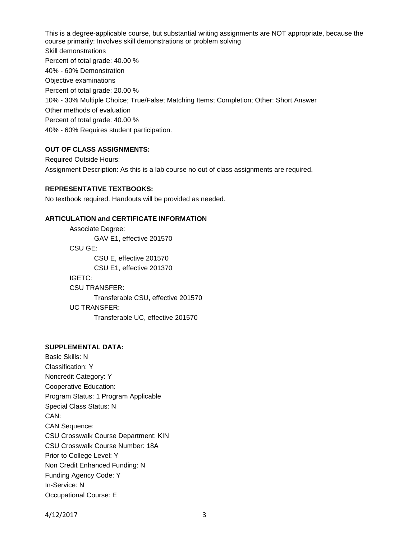This is a degree-applicable course, but substantial writing assignments are NOT appropriate, because the course primarily: Involves skill demonstrations or problem solving Skill demonstrations Percent of total grade: 40.00 % 40% - 60% Demonstration Objective examinations Percent of total grade: 20.00 % 10% - 30% Multiple Choice; True/False; Matching Items; Completion; Other: Short Answer Other methods of evaluation Percent of total grade: 40.00 % 40% - 60% Requires student participation.

# **OUT OF CLASS ASSIGNMENTS:**

Required Outside Hours: Assignment Description: As this is a lab course no out of class assignments are required.

# **REPRESENTATIVE TEXTBOOKS:**

No textbook required. Handouts will be provided as needed.

# **ARTICULATION and CERTIFICATE INFORMATION**

Associate Degree: GAV E1, effective 201570 CSU GE: CSU E, effective 201570 CSU E1, effective 201370 IGETC: CSU TRANSFER: Transferable CSU, effective 201570 UC TRANSFER: Transferable UC, effective 201570

#### **SUPPLEMENTAL DATA:**

Basic Skills: N Classification: Y Noncredit Category: Y Cooperative Education: Program Status: 1 Program Applicable Special Class Status: N CAN: CAN Sequence: CSU Crosswalk Course Department: KIN CSU Crosswalk Course Number: 18A Prior to College Level: Y Non Credit Enhanced Funding: N Funding Agency Code: Y In-Service: N Occupational Course: E

4/12/2017 3